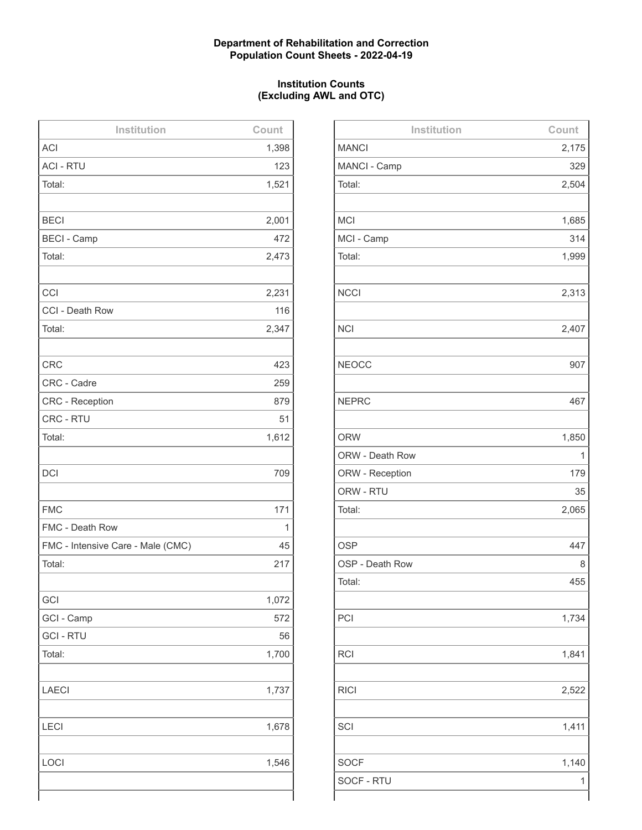## **Department of Rehabilitation and Correction Population Count Sheets - 2022-04-19**

## **Institution Counts (Excluding AWL and OTC)**

| Institution                       | Count |
|-----------------------------------|-------|
| <b>ACI</b>                        | 1,398 |
| <b>ACI - RTU</b>                  | 123   |
| Total:                            | 1,521 |
|                                   |       |
| <b>BECI</b>                       | 2,001 |
| <b>BECI - Camp</b>                | 472   |
| Total:                            | 2,473 |
|                                   |       |
| CCI                               | 2,231 |
| CCI - Death Row                   | 116   |
| Total:                            | 2,347 |
|                                   |       |
| <b>CRC</b>                        | 423   |
| CRC - Cadre                       | 259   |
| CRC - Reception                   | 879   |
| CRC - RTU                         | 51    |
| Total:                            | 1,612 |
|                                   |       |
| <b>DCI</b>                        | 709   |
|                                   |       |
| <b>FMC</b>                        | 171   |
| FMC - Death Row                   | 1     |
| FMC - Intensive Care - Male (CMC) | 45    |
| Total:                            | 217   |
|                                   |       |
| GCI                               | 1,072 |
| GCI - Camp                        | 572   |
| <b>GCI - RTU</b>                  | 56    |
| Total:                            | 1,700 |
|                                   |       |
| <b>LAECI</b>                      | 1,737 |
|                                   |       |
| <b>LECI</b>                       | 1,678 |
|                                   |       |
| LOCI                              | 1,546 |
|                                   |       |
|                                   |       |

| Institution     | Count |
|-----------------|-------|
| <b>MANCI</b>    | 2,175 |
| MANCI - Camp    | 329   |
| Total:          | 2,504 |
|                 |       |
| <b>MCI</b>      | 1,685 |
| MCI - Camp      | 314   |
| Total:          | 1,999 |
|                 |       |
| <b>NCCI</b>     | 2,313 |
|                 |       |
| <b>NCI</b>      | 2,407 |
|                 |       |
| <b>NEOCC</b>    | 907   |
|                 |       |
| <b>NEPRC</b>    | 467   |
|                 |       |
| <b>ORW</b>      | 1,850 |
| ORW - Death Row | 1     |
| ORW - Reception | 179   |
| ORW - RTU       | 35    |
| Total:          | 2,065 |
|                 |       |
| <b>OSP</b>      | 447   |
| OSP - Death Row | 8     |
| Total:          | 455   |
|                 |       |
| PCI             | 1,734 |
|                 |       |
| <b>RCI</b>      | 1,841 |
|                 |       |
| <b>RICI</b>     | 2,522 |
|                 |       |
| SCI             | 1,411 |
|                 |       |
| <b>SOCF</b>     | 1,140 |
| SOCF - RTU      | 1     |
|                 |       |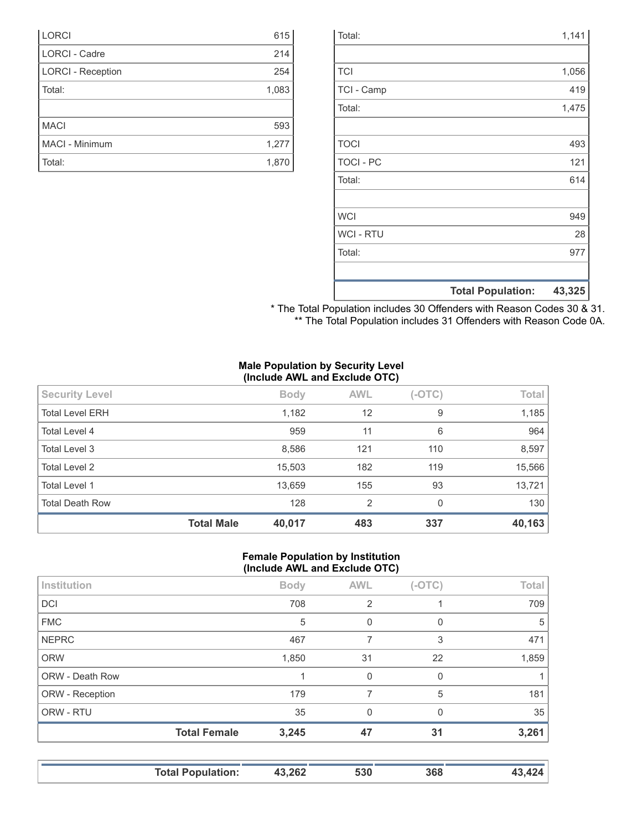|                  | <b>Total Population:</b> | 43,325 |
|------------------|--------------------------|--------|
|                  |                          |        |
| Total:           |                          | 977    |
| <b>WCI-RTU</b>   |                          | 28     |
| <b>WCI</b>       |                          | 949    |
|                  |                          |        |
| Total:           |                          | 614    |
| <b>TOCI - PC</b> |                          | 121    |
| <b>TOCI</b>      |                          | 493    |
|                  |                          |        |
| Total:           |                          | 1,475  |
| TCI - Camp       |                          | 419    |
| <b>TCI</b>       |                          | 1,056  |
|                  |                          |        |
| Total:           |                          | 1,141  |

| * The Total Population includes 30 Offenders with Reason Codes 30 & 31. |  |  |
|-------------------------------------------------------------------------|--|--|
| ** The Total Population includes 31 Offenders with Reason Code 0A.      |  |  |

### **Male Population by Security Level (Include AWL and Exclude OTC)**

| <b>Security Level</b>  |                   | <b>Body</b> | <b>AWL</b> | $(-OTC)$ | Total  |
|------------------------|-------------------|-------------|------------|----------|--------|
|                        |                   |             |            |          |        |
| <b>Total Level ERH</b> |                   | 1,182       | 12         | 9        | 1,185  |
|                        |                   |             |            |          |        |
| Total Level 4          |                   | 959         | 11         | 6        | 964    |
| Total Level 3          |                   | 8,586       | 121        | 110      | 8,597  |
|                        |                   |             |            |          |        |
| <b>Total Level 2</b>   |                   | 15,503      | 182        | 119      | 15,566 |
| Total Level 1          |                   | 13,659      | 155        | 93       | 13,721 |
|                        |                   |             |            |          |        |
| <b>Total Death Row</b> |                   | 128         | 2          | 0        | 130    |
|                        | <b>Total Male</b> | 40,017      | 483        | 337      | 40,163 |

#### **Female Population by Institution (Include AWL and Exclude OTC)**

|                        | $\cdot$             |             |              |          |       |
|------------------------|---------------------|-------------|--------------|----------|-------|
| Institution            |                     | <b>Body</b> | <b>AWL</b>   | $(-OTC)$ | Total |
| <b>DCI</b>             |                     | 708         | 2            |          | 709   |
| <b>FMC</b>             |                     | 5           | 0            | 0        | 5     |
| <b>NEPRC</b>           |                     | 467         |              | 3        | 471   |
| <b>ORW</b>             |                     | 1,850       | 31           | 22       | 1,859 |
| <b>ORW - Death Row</b> |                     |             | $\mathbf{0}$ | 0        |       |
| ORW - Reception        |                     | 179         | 7            | 5        | 181   |
| ORW - RTU              |                     | 35          | $\Omega$     | $\Omega$ | 35    |
|                        | <b>Total Female</b> | 3,245       | 47           | 31       | 3,261 |
|                        |                     |             |              |          |       |

| <b>Total Population:</b> | 43,262 | 530 | 368 | <b>43 424</b> |
|--------------------------|--------|-----|-----|---------------|
|                          |        |     |     |               |

| <b>LORCI</b>             | 615   |
|--------------------------|-------|
| <b>LORCI - Cadre</b>     | 214   |
| <b>LORCI - Reception</b> | 254   |
| Total:                   | 1,083 |
|                          |       |
| <b>MACI</b>              | 593   |
| MACI - Minimum           | 1,277 |
| Total:                   | 1,870 |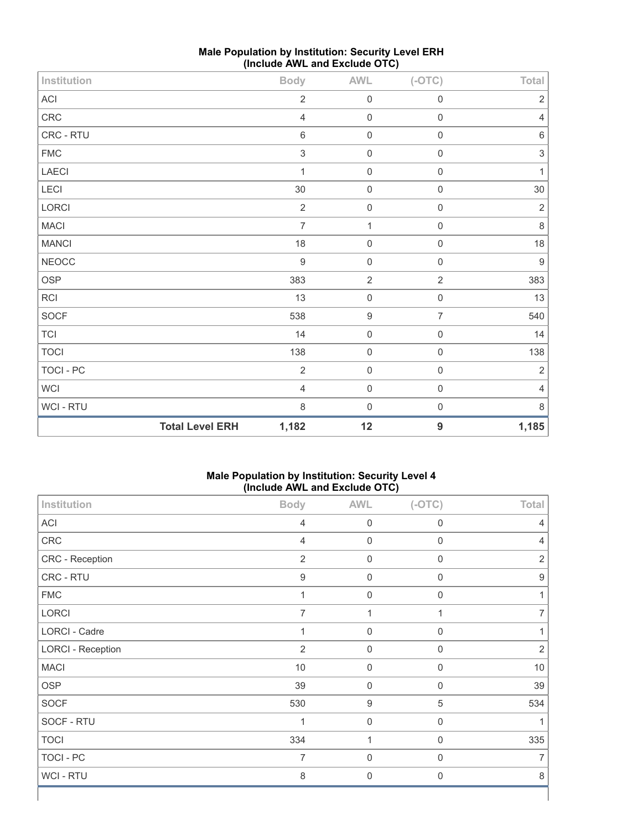| Institution  |                        | <b>Body</b>               | <b>AWL</b>       | $(-OTC)$            | Total            |
|--------------|------------------------|---------------------------|------------------|---------------------|------------------|
| ACI          |                        | $\sqrt{2}$                | $\mathbf 0$      | $\mathsf 0$         | $\sqrt{2}$       |
| CRC          |                        | $\overline{4}$            | $\mathbf 0$      | $\mathsf{O}\xspace$ | $\overline{4}$   |
| CRC - RTU    |                        | $\,6\,$                   | $\mathbf 0$      | $\mathsf{O}\xspace$ | $\,6\,$          |
| ${\sf FMC}$  |                        | $\ensuremath{\mathsf{3}}$ | $\mathbf 0$      | $\mathsf{O}\xspace$ | $\sqrt{3}$       |
| LAECI        |                        | 1                         | $\mathbf 0$      | $\mathsf{O}\xspace$ | $\mathbf{1}$     |
| LECI         |                        | $30\,$                    | $\mathbf 0$      | $\mathsf{O}\xspace$ | $30\,$           |
| LORCI        |                        | $\sqrt{2}$                | $\mathbf 0$      | $\mathsf{O}\xspace$ | $\sqrt{2}$       |
| MACI         |                        | $\overline{7}$            | 1                | $\mathsf{O}\xspace$ | $\,8\,$          |
| <b>MANCI</b> |                        | 18                        | $\mathbf 0$      | $\mathsf 0$         | 18               |
| <b>NEOCC</b> |                        | $\boldsymbol{9}$          | $\mathbf 0$      | $\mathsf 0$         | $\boldsymbol{9}$ |
| OSP          |                        | 383                       | $\overline{2}$   | $\overline{2}$      | 383              |
| RCI          |                        | 13                        | $\mathbf 0$      | $\mathsf{O}\xspace$ | 13               |
| SOCF         |                        | 538                       | $\boldsymbol{9}$ | $\overline{7}$      | 540              |
| $\sf{TCl}$   |                        | 14                        | $\mathbf 0$      | $\mathsf{O}\xspace$ | $14$             |
| <b>TOCI</b>  |                        | 138                       | $\mathbf 0$      | $\mathsf{O}\xspace$ | 138              |
| TOCI - PC    |                        | $\overline{2}$            | $\mathbf 0$      | $\mathsf{O}\xspace$ | $\sqrt{2}$       |
| WCI          |                        | $\overline{4}$            | $\mathbf 0$      | $\mathsf{O}\xspace$ | $\overline{4}$   |
| WCI - RTU    |                        | $\,8\,$                   | $\mathbf 0$      | $\mathsf{O}\xspace$ | $\,8\,$          |
|              | <b>Total Level ERH</b> | 1,182                     | 12               | $\boldsymbol{9}$    | 1,185            |

# **Male Population by Institution: Security Level ERH (Include AWL and Exclude OTC)**

# **Male Population by Institution: Security Level 4 (Include AWL and Exclude OTC)**

| Institution              | <b>Body</b>      | <b>AWL</b>       | $(-OTC)$         | Total            |
|--------------------------|------------------|------------------|------------------|------------------|
| ACI                      | $\overline{4}$   | 0                | 0                | 4                |
| CRC                      | $\overline{4}$   | $\mathbf 0$      | $\boldsymbol{0}$ | 4                |
| CRC - Reception          | $\overline{2}$   | $\mathbf 0$      | $\boldsymbol{0}$ | $\overline{2}$   |
| CRC - RTU                | $\boldsymbol{9}$ | $\mathbf 0$      | $\boldsymbol{0}$ | $\boldsymbol{9}$ |
| ${\sf FMC}$              | 1                | $\boldsymbol{0}$ | $\mathbf 0$      |                  |
| LORCI                    | 7                | 1                | 1                |                  |
| LORCI - Cadre            | 1                | $\boldsymbol{0}$ | $\boldsymbol{0}$ |                  |
| <b>LORCI - Reception</b> | $\overline{2}$   | $\mathbf 0$      | $\mathbf 0$      | $\overline{2}$   |
| <b>MACI</b>              | $10$             | $\mathbf 0$      | $\boldsymbol{0}$ | 10               |
| <b>OSP</b>               | 39               | $\mathbf 0$      | 0                | 39               |
| SOCF                     | 530              | $\boldsymbol{9}$ | 5                | 534              |
| SOCF - RTU               | 1                | $\mathbf 0$      | $\boldsymbol{0}$ |                  |
| <b>TOCI</b>              | 334              | 1                | $\boldsymbol{0}$ | 335              |
| TOCI - PC                | $\overline{7}$   | $\mathbf 0$      | $\mathbf 0$      | 7                |
| WCI - RTU                | 8                | $\mathbf 0$      | $\mathbf 0$      | 8                |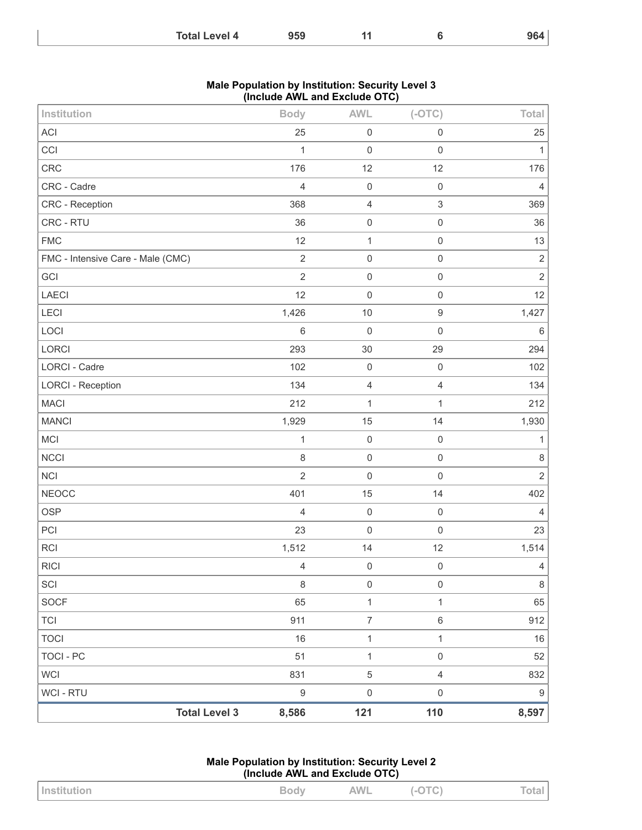| 959<br><b>Total Level 4</b> | -14 |  | 964 |
|-----------------------------|-----|--|-----|
|-----------------------------|-----|--|-----|

### **Male Population by Institution: Security Level 3 (Include AWL and Exclude OTC)**

| Institution                       |                      | <b>Body</b>    | <b>AWL</b>          | $(-OTC)$            | Total          |
|-----------------------------------|----------------------|----------------|---------------------|---------------------|----------------|
| <b>ACI</b>                        |                      | 25             | $\mathbf 0$         | $\mathsf{O}\xspace$ | 25             |
| CCI                               |                      | 1              | $\mathbf 0$         | $\mathsf 0$         | 1              |
| CRC                               |                      | 176            | 12                  | 12                  | 176            |
| CRC - Cadre                       |                      | 4              | $\mathbf 0$         | $\mathbf 0$         | $\overline{4}$ |
| CRC - Reception                   |                      | 368            | $\overline{4}$      | $\sqrt{3}$          | 369            |
| CRC - RTU                         |                      | 36             | $\mathbf 0$         | $\mathsf{O}\xspace$ | 36             |
| <b>FMC</b>                        |                      | 12             | $\mathbf{1}$        | $\mathbf 0$         | 13             |
| FMC - Intensive Care - Male (CMC) |                      | $\sqrt{2}$     | $\mathbf 0$         | $\mathsf{O}\xspace$ | $\sqrt{2}$     |
| GCI                               |                      | $\overline{2}$ | $\mathsf{O}\xspace$ | $\mathsf 0$         | $\sqrt{2}$     |
| <b>LAECI</b>                      |                      | 12             | $\mathbf 0$         | $\mathsf{O}\xspace$ | 12             |
| LECI                              |                      | 1,426          | 10                  | $\boldsymbol{9}$    | 1,427          |
| LOCI                              |                      | $\,6\,$        | $\mathbf 0$         | $\mathsf{O}\xspace$ | $\,6\,$        |
| LORCI                             |                      | 293            | 30                  | 29                  | 294            |
| <b>LORCI - Cadre</b>              |                      | 102            | $\mathbf 0$         | $\mathsf{O}\xspace$ | 102            |
| <b>LORCI - Reception</b>          |                      | 134            | $\overline{4}$      | $\overline{4}$      | 134            |
| <b>MACI</b>                       |                      | 212            | 1                   | $\mathbf{1}$        | 212            |
| <b>MANCI</b>                      |                      | 1,929          | 15                  | 14                  | 1,930          |
| MCI                               |                      | 1              | $\mathbf 0$         | $\mathsf 0$         | 1              |
| <b>NCCI</b>                       |                      | $\,8\,$        | $\mathbf 0$         | $\mathbf 0$         | $\,8\,$        |
| <b>NCI</b>                        |                      | $\overline{2}$ | $\mathbf 0$         | $\mathbf 0$         | $\overline{2}$ |
| <b>NEOCC</b>                      |                      | 401            | 15                  | 14                  | 402            |
| <b>OSP</b>                        |                      | $\overline{4}$ | $\mathbf 0$         | $\mathsf{O}\xspace$ | $\overline{4}$ |
| PCI                               |                      | 23             | $\mathbf 0$         | $\mathbf 0$         | 23             |
| RCI                               |                      | 1,512          | 14                  | 12                  | 1,514          |
| <b>RICI</b>                       |                      | 4              | $\mathsf{O}\xspace$ | $\mathbf 0$         | 4              |
| SCI                               |                      | $\,8\,$        | $\mathsf{O}\xspace$ | $\mathsf 0$         | $\,8\,$        |
| <b>SOCF</b>                       |                      | 65             | $\mathbf{1}$        | $\mathbf{1}$        | 65             |
| <b>TCI</b>                        |                      | 911            | $\boldsymbol{7}$    | $\,6$               | 912            |
| <b>TOCI</b>                       |                      | 16             | $\mathbf{1}$        | $\mathbf{1}$        | 16             |
| <b>TOCI - PC</b>                  |                      | 51             | $\mathbf{1}$        | $\mathsf{O}\xspace$ | 52             |
| <b>WCI</b>                        |                      | 831            | $\sqrt{5}$          | $\overline{4}$      | 832            |
| WCI - RTU                         |                      | 9              | $\mathsf{O}\xspace$ | $\,0\,$             | $9\,$          |
|                                   | <b>Total Level 3</b> | 8,586          | 121                 | 110                 | 8,597          |

**Male Population by Institution: Security Level 2 (Include AWL and Exclude OTC)**

| <b>Institution</b> | <b>Body</b> | <b>AWL</b> | $(-OTC)$ | <b>Total</b> |
|--------------------|-------------|------------|----------|--------------|
|--------------------|-------------|------------|----------|--------------|

L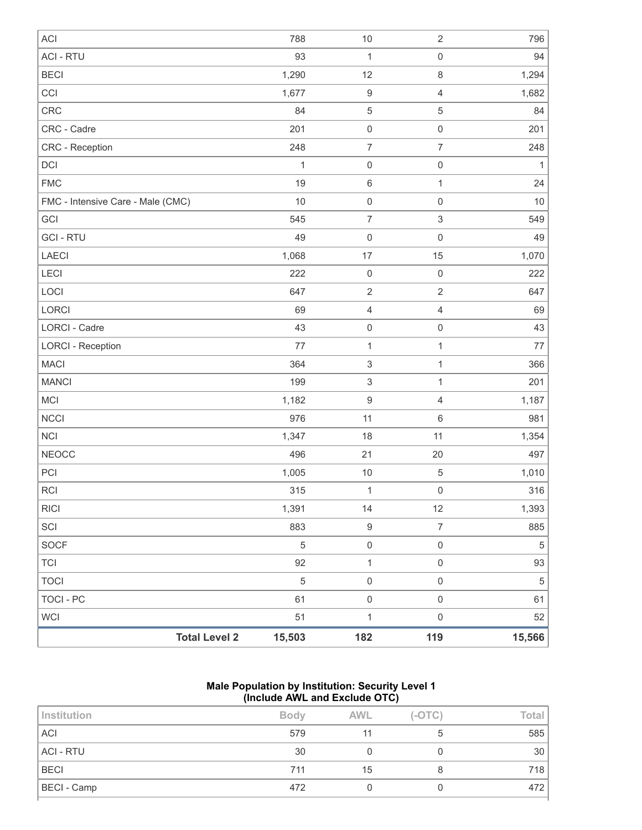| <b>ACI</b>                        | 788            | $10$                      | $\sqrt{2}$          | 796        |
|-----------------------------------|----------------|---------------------------|---------------------|------------|
| <b>ACI - RTU</b>                  | 93             | 1                         | $\mathsf 0$         | 94         |
| <b>BECI</b>                       | 1,290          | 12                        | $\,8\,$             | 1,294      |
| CCI                               | 1,677          | $\boldsymbol{9}$          | $\overline{4}$      | 1,682      |
| CRC                               | 84             | $\mathbf 5$               | 5                   | 84         |
| CRC - Cadre                       | 201            | $\mathbf 0$               | $\mathbf 0$         | 201        |
| CRC - Reception                   | 248            | $\overline{7}$            | $\overline{7}$      | 248        |
| <b>DCI</b>                        | 1              | $\mathbf 0$               | $\mathbf 0$         | 1          |
| <b>FMC</b>                        | 19             | $\,6\,$                   | 1                   | 24         |
| FMC - Intensive Care - Male (CMC) | 10             | $\mathbf 0$               | $\mathbf 0$         | 10         |
| GCI                               | 545            | $\overline{7}$            | $\sqrt{3}$          | 549        |
| <b>GCI - RTU</b>                  | 49             | $\mathbf 0$               | $\mathbf 0$         | 49         |
| LAECI                             | 1,068          | 17                        | 15                  | 1,070      |
| <b>LECI</b>                       | 222            | $\mathbf 0$               | $\mathbf 0$         | 222        |
| LOCI                              | 647            | $\sqrt{2}$                | $\mathbf 2$         | 647        |
| LORCI                             | 69             | $\sqrt{4}$                | $\overline{4}$      | 69         |
| <b>LORCI - Cadre</b>              | 43             | $\mathsf 0$               | $\mathsf{O}\xspace$ | 43         |
| <b>LORCI - Reception</b>          | 77             | $\mathbf{1}$              | $\mathbf{1}$        | 77         |
| <b>MACI</b>                       | 364            | $\ensuremath{\mathsf{3}}$ | $\mathbf{1}$        | 366        |
| <b>MANCI</b>                      | 199            | $\ensuremath{\mathsf{3}}$ | $\mathbf{1}$        | 201        |
| MCI                               | 1,182          | $\boldsymbol{9}$          | $\overline{4}$      | 1,187      |
| <b>NCCI</b>                       | 976            | 11                        | $6\,$               | 981        |
| <b>NCI</b>                        | 1,347          | 18                        | 11                  | 1,354      |
| <b>NEOCC</b>                      | 496            | 21                        | 20                  | 497        |
| PCI                               | 1,005          | $10$                      | 5                   | 1,010      |
| <b>RCI</b>                        | 315            | $\mathbf 1$               | $\mathbf 0$         | 316        |
| <b>RICI</b>                       | 1,391          | 14                        | 12                  | 1,393      |
| SCI                               | 883            | $\boldsymbol{9}$          | $\overline{7}$      | 885        |
| SOCF                              | $\mathbf 5$    | $\mathsf{O}\xspace$       | $\mathsf{O}\xspace$ | $\sqrt{5}$ |
| TCI                               | 92             | $\mathbf{1}$              | $\mathsf{O}\xspace$ | 93         |
| <b>TOCI</b>                       | $\overline{5}$ | $\mathsf{O}\xspace$       | $\mathsf{O}\xspace$ | $\sqrt{5}$ |
| <b>TOCI - PC</b>                  | 61             | $\mathsf{O}\xspace$       | $\mathsf{O}\xspace$ | 61         |
| <b>WCI</b>                        | 51             | $\mathbf{1}$              | $\,0\,$             | 52         |
| <b>Total Level 2</b>              | 15,503         | 182                       | 119                 | 15,566     |

### **Male Population by Institution: Security Level 1 (Include AWL and Exclude OTC)**

| <b>Institution</b> | <b>Body</b> | <b>AWL</b> | $(-OTC)$ | Total |
|--------------------|-------------|------------|----------|-------|
| <b>ACI</b>         | 579         |            |          | 585   |
| <b>ACI - RTU</b>   | 30          |            |          | 30    |
| <b>BECI</b>        | 711         | 15         |          | 718   |
| BECI - Camp        | 472         |            |          | 472   |